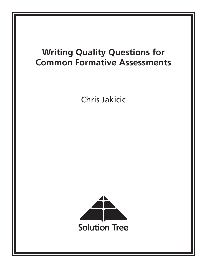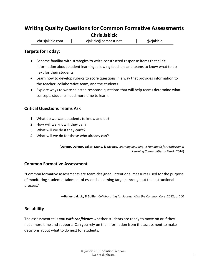# **Writing Quality Questions for Common Formative Assessments Chris Jakicic**

chrisjakicic.com │ cjakicic@comcast.net │ @cjakicic

## **Targets for Today:**

- Become familiar with strategies to write constructed response items that elicit information about student learning, allowing teachers and teams to know what to do next for their students.
- Learn how to develop rubrics to score questions in a way that provides information to the teacher, collaborative team, and the students.
- Explore ways to write selected response questions that will help teams determine what concepts students need more time to learn.

## **Critical Questions Teams Ask**

- 1. What do we want students to know and do?
- 2. How will we know if they can?
- 3. What will we do if they can't?
- 4. What will we do for those who already can?

(**DuFour, DuFour, Eaker, Many**, **& Mattos,** *Learning by Doing: A Handbook for Professional Learning Communities at Work*, 2016)

### **Common Formative Assessment**

"Common formative assessments are team‐designed, intentional measures used for the purpose of monitoring student attainment of essential learning targets throughout the instructional process."

—**Bailey, Jakicic, & Spiller**, *Collaborating for Success With the Common Core*, 2012, p. 100

## **Reliability**

The assessment tells you *with confidence* whether students are ready to move on or if they need more time and support. Can you rely on the information from the assessment to make decisions about what to do next for students.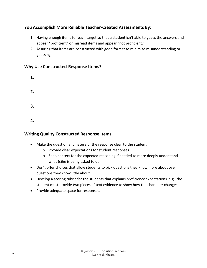# **You Accomplish More Reliable Teacher‐Created Assessments By:**

- 1. Having enough items for each target so that a student isn't able to guess the answers and appear "proficient" or misread items and appear "not proficient."
- 2. Assuring that items are constructed with good format to minimize misunderstanding or guessing.

## **Why Use Constructed‐Response Items?**

| 1. |  |  |  |
|----|--|--|--|
| 2. |  |  |  |
| 3. |  |  |  |
| 4. |  |  |  |

## **Writing Quality Constructed Response Items**

- Make the question and nature of the response clear to the student.
	- o Provide clear expectations for student responses.
	- o Set a context for the expected reasoning if needed to more deeply understand what (s)he is being asked to do.
- Don't offer choices that allow students to pick questions they know more about over questions they know little about.
- Develop a scoring rubric for the students that explains proficiency expectations, e.g., the student must provide two pieces of text evidence to show how the character changes.
- Provide adequate space for responses.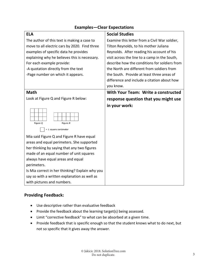| <b>ELA</b>                                      | <b>Social Studies</b>                         |
|-------------------------------------------------|-----------------------------------------------|
| The author of this text is making a case to     | Examine this letter from a Civil War soldier, |
| move to all electric cars by 2020. Find three   | Tilton Reynolds, to his mother Juliana        |
| examples of specific data he provides           | Reynolds. After reading his account of his    |
| explaining why he believes this is necessary.   | visit across the line to a camp in the South, |
| For each example provide:                       | describe how the conditions for soldiers from |
| -A quotation directly from the text             | the North are different from soldiers from    |
| -Page number on which it appears.               | the South. Provide at least three areas of    |
|                                                 | difference and include a citation about how   |
|                                                 | you know.                                     |
| <b>Math</b>                                     | With Your Team: Write a constructed           |
| Look at Figure Q and Figure R below:            | response question that you might use          |
| Figure Q<br>Figure R<br>$= 1$ square centimeter | in your work:                                 |
| Mia said Figure Q and Figure R have equal       |                                               |
| areas and equal perimeters. She supported       |                                               |
| her thinking by saying that any two figures     |                                               |
| made of an equal number of unit squares         |                                               |
| always have equal areas and equal               |                                               |
| perimeters.                                     |                                               |
| Is Mia correct in her thinking? Explain why you |                                               |
| say so with a written explanation as well as    |                                               |
| with pictures and numbers.                      |                                               |

# **Examples—Clear Expectations**

## **Providing Feedback:**

- Use descriptive rather than evaluative feedback
- Provide the feedback about the learning target(s) being assessed.
- Limit "corrective feedback" to what can be absorbed at a given time.
- Provide feedback that is specific enough so that the student knows what to do next, but not so specific that it gives away the answer.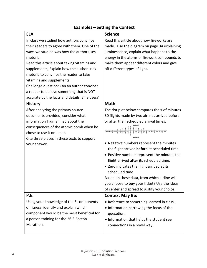| <b>ELA</b>                                         | <b>Science</b>                                 |
|----------------------------------------------------|------------------------------------------------|
| In class we studied how authors convince           | Read this article about how fireworks are      |
| their readers to agree with them. One of the       | made. Use the diagram on page 34 explaining    |
| ways we studied was how the author uses            | luminescence, explain what happens to the      |
| rhetoric.                                          | energy in the atoms of firework compounds to   |
| Read this article about taking vitamins and        | make them appear different colors and give     |
| supplements, Explain how the author uses           | off different types of light.                  |
| rhetoric to convince the reader to take            |                                                |
| vitamins and supplements.                          |                                                |
| Challenge question: Can an author convince         |                                                |
| a reader to believe something that is NOT          |                                                |
| accurate by the facts and details (s)he uses?      |                                                |
| <b>History</b>                                     | <b>Math</b>                                    |
| After analyzing the primary source                 | The dot plot below compares the # of minutes   |
| documents provided, consider what                  | 30 flights made by two airlines arrived before |
| information Truman had about the                   | or after their scheduled arrival times.        |
| consequences of the atomic bomb when he            |                                                |
| chose to use it on Japan.                          | $25.30.35$ as as as as as as                   |
| Cite three places in these texts to support        |                                                |
| your answer.                                       | • Negative numbers represent the minutes       |
|                                                    | the flight arrived before its scheduled time.  |
|                                                    | • Positive numbers represent the minutes the   |
|                                                    | flight arrived after its scheduled time.       |
|                                                    | • Zero indicates the flight arrived at its     |
|                                                    | scheduled time.                                |
|                                                    | Based on these data, from which airline will   |
|                                                    | you choose to buy your ticket? Use the ideas   |
|                                                    | of center and spread to justify your choice.   |
| P.E.                                               | <b>Context May Be:</b>                         |
| Using your knowledge of the 5 components           | • Reference to something learned in class.     |
| of fitness, identify and explain which             | • Information narrowing the focus of the       |
| component would be the most beneficial for         | quesetion.                                     |
| a person training for the 26.2 Boston<br>Marathon. | • Information that helps the student see       |
|                                                    | connections in a novel way.                    |
|                                                    |                                                |

# **Examples—Setting the Context**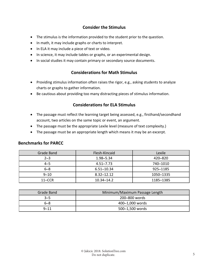# **Consider the Stimulus**

- The stimulus is the information provided to the student prior to the question.
- In math, it may include graphs or charts to interpret.
- In ELA it may include a piece of text or video.
- In science, it may include tables or graphs, or an experimental design.
- In social studies it may contain primary or secondary source documents.

## **Considerations for Math Stimulus**

- Providing stimulus information often raises the rigor, e.g., asking students to analyze charts or graphs to gather information.
- Be cautious about providing too many distracting pieces of stimulus information.

## **Considerations for ELA Stimulus**

- The passage must reflect the learning target being assessed, e.g., firsthand/secondhand account, two articles on the same topic or event, an argument.
- The passage must be the appropriate Lexile level (measure of text complexity.)
- The passage must be an appropriate length which means it may be an excerpt.

### **Benchmarks for PARCC**

| Grade Band | Flesh-Kincaid  | Lexile    |  |
|------------|----------------|-----------|--|
| $2 - 3$    | 1.98–5.34      | 420–820   |  |
| $4 - 5$    | $4.51 - 7.73$  | 740–1010  |  |
| $6 - 8$    | 6.51-10.34     | 925-1185  |  |
| $9 - 10$   | $8.32 - 12.12$ | 1050-1335 |  |
| $11 - CCR$ | 10.34–14.2     | 1185-1385 |  |

| Grade Band | Minimum/Maximum Passage Length |
|------------|--------------------------------|
| $3 - 5$    | 200-800 words                  |
| $6 - 8$    | 400-1,000 words                |
| $9 - 11$   | 500-1,500 words                |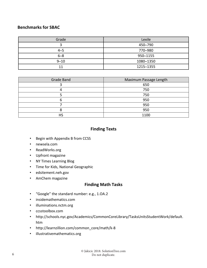## **Benchmarks for SBAC**

| Grade    | Lexile    |
|----------|-----------|
| ÷.       | 450-790   |
| $4 - 5$  | 770-980   |
| $6 - 8$  | 950-1155  |
| $9 - 10$ | 1080-1350 |
| 11       | 1215-1355 |

| Grade Band | Maximum Passage Length |  |
|------------|------------------------|--|
|            | 650                    |  |
| 4          | 750                    |  |
|            | 750                    |  |
| ь          | 950                    |  |
|            | 950                    |  |
|            | 950                    |  |
|            | 1100                   |  |

## **Finding Texts**

- Begin with Appendix B from CCSS
- newsela.com
- ReadWorks.org
- Upfront magazine
- NY Times Learning Blog
- Time for Kids, National Geographic
- edsitement.neh.gov
- AmChem magazine

## **Finding Math Tasks**

- "Google" the standard number: e.g., 1.OA.2
- insidemathematics.com
- illuminations.nctm.org
- ccsstoolbox.com
- http://schools.nyc.gov/Academics/CommonCoreLibrary/TasksUnitsStudentWork/default. htm
- http://learnzillion.com/common\_core/math/k-8
- illustrativemathematics.org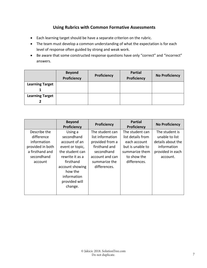# **Using Rubrics with Common Formative Assessments**

- Each learning target should be have a separate criterion on the rubric.
- The team must develop a common understanding of what the expectation is for each level of response often guided by strong and weak work.
- Be aware that some constructed response questions have only "correct" and "incorrect" answers.

|                        | <b>Beyond</b><br>Proficiency | Proficiency | <b>Partial</b><br>Proficiency | <b>No Proficiency</b> |
|------------------------|------------------------------|-------------|-------------------------------|-----------------------|
| <b>Learning Target</b> |                              |             |                               |                       |
| <b>Learning Target</b> |                              |             |                               |                       |

|                  | <b>Beyond</b><br>Proficiency | Proficiency      | <b>Partial</b><br>Proficiency | <b>No Proficiency</b> |
|------------------|------------------------------|------------------|-------------------------------|-----------------------|
| Describe the     | Using a                      | The student can  | The student can               | The student is        |
| difference       | secondhand                   | list information | list details from             | unable to list        |
| information      | account of an                | provided from a  | each account                  | details about the     |
| provided in both | event or topic,              | firsthand and    | but is unable to              | information           |
| a firsthand and  | the student can              | secondhand       | summarize them                | provided in each      |
| secondhand       | rewrite it as a              | account and can  | to show the                   | account.              |
| account          | firsthand                    | summarize the    | differences.                  |                       |
|                  | account showing              | differences.     |                               |                       |
|                  | how the                      |                  |                               |                       |
|                  | information                  |                  |                               |                       |
|                  | provided will                |                  |                               |                       |
|                  | change.                      |                  |                               |                       |
|                  |                              |                  |                               |                       |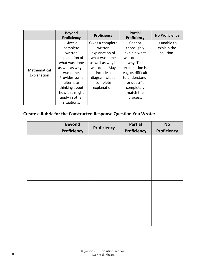|                             | <b>Beyond</b><br>Proficiency                                                                                                                                                                           | Proficiency                                                                                                                                                     | <b>Partial</b><br>Proficiency                                                                                                                                                 | <b>No Proficiency</b>                    |
|-----------------------------|--------------------------------------------------------------------------------------------------------------------------------------------------------------------------------------------------------|-----------------------------------------------------------------------------------------------------------------------------------------------------------------|-------------------------------------------------------------------------------------------------------------------------------------------------------------------------------|------------------------------------------|
| Mathematical<br>Explanation | Gives a<br>complete<br>written<br>explanation of<br>what was done<br>as well as why it<br>was done.<br>Provides some<br>alternate<br>thinking about<br>how this might<br>apply in other<br>situations. | Gives a complete<br>written<br>explanation of<br>what was done<br>as well as why it<br>was done. May<br>include a<br>diagram with a<br>complete<br>explanation. | Cannot<br>thoroughly<br>explain what<br>was done and<br>why. The<br>explanation is<br>vague, difficult<br>to understand,<br>or doesn't<br>completely<br>match the<br>process. | Is unable to<br>explain the<br>solution. |

# **Create a Rubric for the Constructed Response Question You Wrote:**

| <b>Beyond</b> |             | <b>Partial</b> | <b>No</b>   |
|---------------|-------------|----------------|-------------|
| Proficiency   | Proficiency | Proficiency    | Proficiency |
|               |             |                |             |
|               |             |                |             |
|               |             |                |             |
|               |             |                |             |
|               |             |                |             |
|               |             |                |             |
|               |             |                |             |
|               |             |                |             |
|               |             |                |             |
|               |             |                |             |
|               |             |                |             |
|               |             |                |             |
|               |             |                |             |
|               |             |                |             |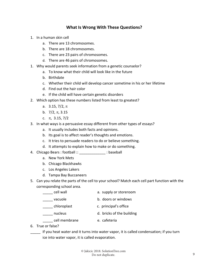## **What Is Wrong With These Questions?**

- 1. In a human skin cell
	- a. There are 13 chromosomes.
	- b. There are 18 chromosomes.
	- c. There are 23 pairs of chromosomes.
	- d. There are 46 pairs of chromosomes.
- 1. Why would parents seek information from a genetic counselor?
	- a. To know what their child will look like in the future
	- b. Birthdate
	- c. Whether their child will develop cancer sometime in his or her lifetime
	- d. Find out the hair color
	- e. If the child will have certain genetic disorders
- 2. Which option has these numbers listed from least to greatest?
	- a.  $3.15, 7/2, \pi$
	- b.  $7/2, \pi, 3.15$
	- c.  $\pi$ , 3.15, 7/2
- 3. In what ways is a persuasive essay different from other types of essays?
	- a. It usually includes both facts and opinions.
	- b. Its goal is to affect reader's thoughts and emotions.
	- c. It tries to persuade readers to do or believe something.
	- d. It attempts to explain how to make or do something.
- 4. Chicago Bears : football :: \_\_\_\_\_\_\_\_\_\_\_\_\_ : baseball
	- a. New York Mets
	- b. Chicago Blackhawks
	- c. Los Angeles Lakers
	- d. Tampa Bay Buccaneers
- 5. Can you relate the parts of the cell to your school? Match each cell part function with the corresponding school area.
	- \_\_\_\_\_ cell wall a. supply or storeroom vacuole **b.** doors or windows \_\_\_\_\_ chloroplast c. principal's office \_\_\_\_\_ nucleus d. bricks of the building cell membrane **b** e. cafeteria
- 6. True or false?
- \_\_\_\_\_ If you heat water and it turns into water vapor, it is called condensation; if you turn ice into water vapor, it is called evaporation.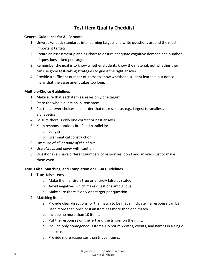# **Test‐Item Quality Checklist**

### **General Guidelines for All Formats**

- 1. Unwrap/unpack standards into learning targets and write questions around the most important targets.
- 2. Create an assessment planning chart to ensure adequate cognitive demand and number of questions asked per target.
- 3. Remember the goal is to know whether students know the material, not whether they can use good test‐taking strategies to guess the right answer.
- 4. Provide a sufficient number of items to know whether a student learned, but not so many that the assessment takes too long.

### **Multiple‐Choice Guidelines**

- 1. Make sure that each item assesses only one target.
- 2. State the whole question in item stem.
- 3. Put the answer choices in an order that makes sense, e.g., largest to smallest, alphabetical.
- 4. Be sure there is only one correct or best answer.
- 5. Keep response options brief and parallel in:
	- a. Length
	- b. Grammatical construction
- 6. Limit use of *all* or *none of the above*.
- 7. Use *always* and *never* with caution.
- 8. Questions can have different numbers of responses; don't add answers just to make them even.

### **True**–**False, Matching, and Completion or Fill‐In Guidelines**

- 1. True–false items
	- a. Make them entirely true or entirely false as stated.
	- b. Avoid negatives which make questions ambiguous.
	- c. Make sure there is only one target per question.
- 2. Matching items
	- a. Provide clear directions for the match to be made. Indicate if a response can be used more than once or if an item has more than one match.
	- b. Include no more than 10 items.
	- c. Put the responses on the left and the trigger on the right.
	- d. Include only homogeneous items. Do not mix dates, events, and names in a single exercise.
	- e. Provide more responses than trigger items.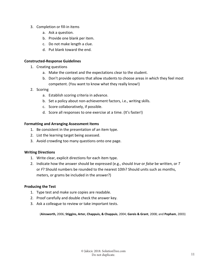- 3. Completion or fill‐in items
	- a. Ask a question.
	- b. Provide one blank per item.
	- c. Do not make length a clue.
	- d. Put blank toward the end.

### **Constructed‐Response Guidelines**

- 1. Creating questions
	- a. Make the context and the expectations clear to the student.
	- b. Don't provide options that allow students to choose areas in which they feel most competent. (You want to know what they really know!)
- 2. Scoring
	- a. Establish scoring criteria in advance.
	- b. Set a policy about non‐achievement factors, i.e., writing skills.
	- c. Score collaboratively, if possible.
	- d. Score all responses to one exercise at a time. (It's faster!)

#### **Formatting and Arranging Assessment Items**

- 1. Be consistent in the presentation of an item type.
- 2. List the learning target being assessed.
- 3. Avoid crowding too many questions onto one page.

### **Writing Directions**

- 1. Write clear, explicit directions for each item type.
- 2. Indicate how the answer should be expressed (e.g., should *true* or *false* be written, or *T* or *F*? Should numbers be rounded to the nearest 10th? Should units such as months, meters, or grams be included in the answer?)

### **Producing the Test**

- 1. Type test and make sure copies are readable.
- 2. Proof carefully and double check the answer key.
- 3. Ask a colleague to review or take important tests.

(**Ainsworth,** 2006; **Stiggins, Arter, Chappuis, & Chappuis**, 2004; **Gareis & Grant**, 2008; and **Popham**, 2003)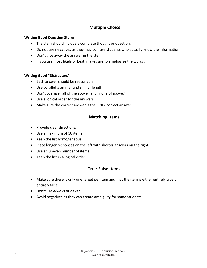# **Multiple Choice**

### **Writing Good Question Stems:**

- The stem should include a complete thought or question.
- Do not use negatives as they may confuse students who actually know the information.
- Don't give away the answer in the stem.
- If you use **most likely** or **best**, make sure to emphasize the words.

### **Writing Good "Distracters"**

- Each answer should be reasonable.
- Use parallel grammar and similar length.
- Don't overuse "all of the above" and "none of above."
- Use a logical order for the answers.
- Make sure the correct answer is the ONLY correct answer.

## **Matching Items**

- Provide clear directions.
- Use a maximum of 10 items.
- Keep the list homogeneous.
- Place longer responses on the left with shorter answers on the right.
- Use an uneven number of items.
- Keep the list in a logical order.

## **True‐False Items**

- Make sure there is only one target per item and that the item is either entirely true or entirely false.
- Don't use *always* or *never*.
- Avoid negatives as they can create ambiguity for some students.